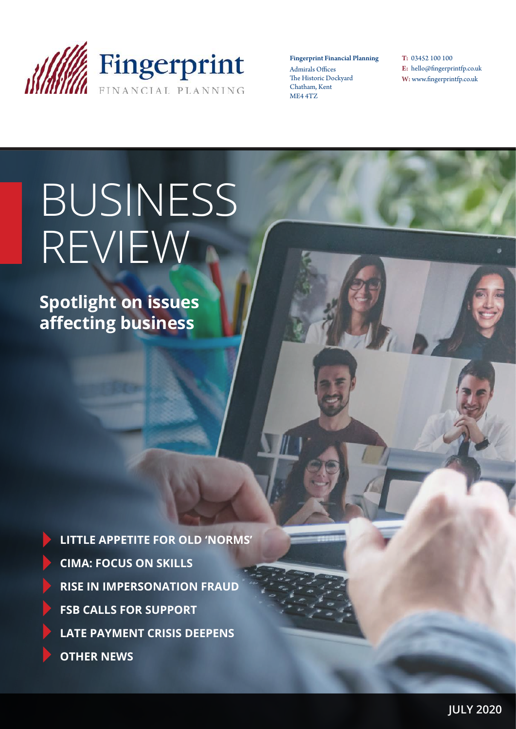

Fingerprint Financial Planning Admirals Offices The Historic Dockyard Chatham, Kent ME4 4TZ

T: 03452 100 100 E: hello@fingerprintfp.co.uk W: www.fingerprintfp.co.uk

# BUSINESS REVIEW

**Spotlight on issues affecting business**

**LITTLE APPETITE FOR OLD 'NORMS' CIMA: FOCUS ON SKILLS RISE IN IMPERSONATION FRAUD FSB CALLS FOR SUPPORT LATE PAYMENT CRISIS DEEPENS OTHER NEWS**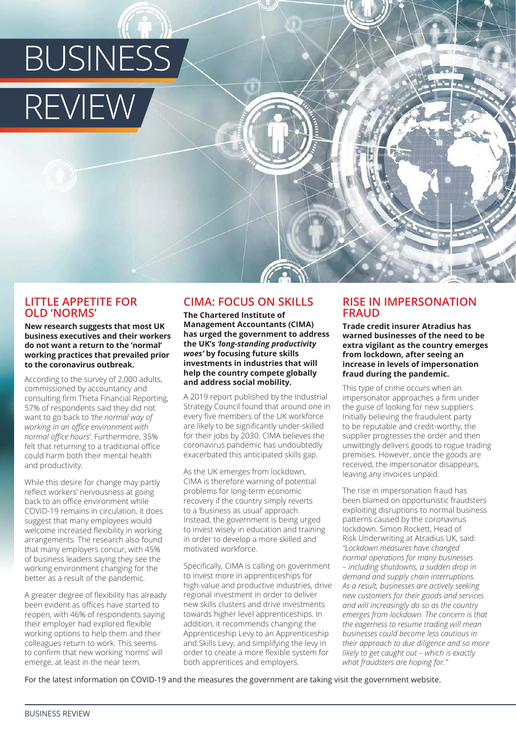

# **LITTLE APPETITE FOR OLD 'NORMS'**

**New research suggests that most UK business executives and their workers do not want a return to the 'normal' working practices that prevailed prior to the coronavirus outbreak.**

According to the survey of 2,000 adults, commissioned by accountancy and consulting firm Theta Financial Reporting, 57% of respondents said they did not want to go back to *'the normal way of working in an office environment with normal office hours'*. Furthermore, 35% felt that returning to a traditional office could harm both their mental health and productivity.

While this desire for change may partly reflect workers' nervousness at going back to an office environment while COVID-19 remains in circulation, it does suggest that many employees would welcome increased flexibility in working arrangements. The research also found that many employers concur, with 45% of business leaders saying they see the working environment changing for the better as a result of the pandemic.

A greater degree of flexibility has already been evident as offices have started to reopen, with 46% of respondents saying their employer had explored flexible working options to help them and their colleagues return to work. This seems to confirm that new working 'norms' will emerge, at least in the near term.

# **CIMA: FOCUS ON SKILLS**

**The Chartered Institute of Management Accountants (CIMA) has urged the government to address the UK's** *'long-standing productivity woes'* **by focusing future skills investments in industries that will help the country compete globally and address social mobility.** 

A 2019 report published by the Industrial Strategy Council found that around one in every five members of the UK workforce are likely to be significantly under-skilled for their jobs by 2030. CIMA believes the coronavirus pandemic has undoubtedly exacerbated this anticipated skills gap.

As the UK emerges from lockdown, CIMA is therefore warning of potential problems for long-term economic recovery if the country simply reverts to a 'business as usual' approach. Instead, the government is being urged to invest wisely in education and training in order to develop a more skilled and motivated workforce.

Specifically, CIMA is calling on government to invest more in apprenticeships for high-value and productive industries, drive regional investment in order to deliver new skills clusters and drive investments towards higher level apprenticeships. In addition, it recommends changing the Apprenticeship Levy to an Apprenticeship and Skills Levy, and simplifying the levy in order to create a more flexible system for both apprentices and employers.

# **RISE IN IMPERSONATION FRAUD**

**Trade credit insurer Atradius has warned businesses of the need to be extra vigilant as the country emerges from lockdown, after seeing an increase in levels of impersonation fraud during the pandemic.**

This type of crime occurs when an impersonator approaches a firm under the guise of looking for new suppliers. Initially believing the fraudulent party to be reputable and credit-worthy, the supplier progresses the order and then unwittingly delivers goods to rogue trading premises. However, once the goods are received, the impersonator disappears, leaving any invoices unpaid.

The rise in impersonation fraud has been blamed on opportunistic fraudsters exploiting disruptions to normal business patterns caused by the coronavirus lockdown. Simon Rockett, Head of Risk Underwriting at Atradius UK, said: *"Lockdown measures have changed normal operations for many businesses – including shutdowns, a sudden drop in demand and supply chain interruptions. As a result, businesses are actively seeking new customers for their goods and services and will increasingly do so as the country emerges from lockdown. The concern is that the eagerness to resume trading will mean businesses could become less cautious in their approach to due diligence and so more likely to get caught out – which is exactly what fraudsters are hoping for."*

For the latest information on COVID-19 and the measures the government are taking visit the government website.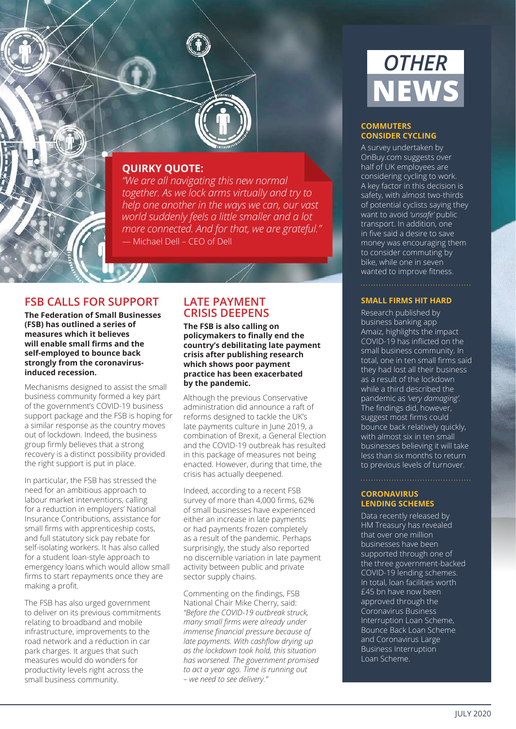

# **QUIRKY QUOTE:**

*"We are all navigating this new normal together. As we lock arms virtually and try to help one another in the ways we can, our vast world suddenly feels a little smaller and a lot more connected. And for that, we are grateful."* — Michael Dell – CEO of Dell

# **FSB CALLS FOR SUPPORT**

**The Federation of Small Businesses (FSB) has outlined a series of measures which it believes will enable small firms and the self-employed to bounce back strongly from the coronavirusinduced recession.**

Mechanisms designed to assist the small business community formed a key part of the government's COVID-19 business support package and the FSB is hoping for a similar response as the country moves out of lockdown. Indeed, the business group firmly believes that a strong recovery is a distinct possibility provided the right support is put in place.

In particular, the FSB has stressed the need for an ambitious approach to labour market interventions, calling for a reduction in employers' National Insurance Contributions, assistance for small firms with apprenticeship costs, and full statutory sick pay rebate for self-isolating workers. It has also called for a student loan-style approach to emergency loans which would allow small firms to start repayments once they are making a profit.

The FSB has also urged government to deliver on its previous commitments relating to broadband and mobile infrastructure, improvements to the road network and a reduction in car park charges. It argues that such measures would do wonders for productivity levels right across the small business community.

# **LATE PAYMENT CRISIS DEEPENS**

**The FSB is also calling on policymakers to finally end the country's debilitating late payment crisis after publishing research which shows poor payment practice has been exacerbated by the pandemic.**

Although the previous Conservative administration did announce a raft of reforms designed to tackle the UK's late payments culture in June 2019, a combination of Brexit, a General Election and the COVID-19 outbreak has resulted in this package of measures not being enacted. However, during that time, the crisis has actually deepened.

Indeed, according to a recent FSB survey of more than 4,000 firms, 62% of small businesses have experienced either an increase in late payments or had payments frozen completely as a result of the pandemic. Perhaps surprisingly, the study also reported no discernible variation in late payment activity between public and private sector supply chains.

Commenting on the findings, FSB National Chair Mike Cherry, said: *"Before the COVID-19 outbreak struck, many small firms were already under immense financial pressure because of late payments. With cashflow drying up as the lockdown took hold, this situation has worsened. The government promised to act a year ago. Time is running out – we need to see delivery."* 



### **COMMUTERS CONSIDER CYCLING**

A survey undertaken by OnBuy.com suggests over half of UK employees are considering cycling to work. A key factor in this decision is safety, with almost two-thirds of potential cyclists saying they want to avoid *'unsafe'* public transport. In addition, one in five said a desire to save money was encouraging them to consider commuting by bike, while one in seven wanted to improve fitness.

### **SMALL FIRMS HIT HARD**

Research published by business banking app Amaiz, highlights the impact COVID-19 has inflicted on the small business community. In total, one in ten small firms said they had lost all their business as a result of the lockdown while a third described the pandemic as *'very damaging'.* The findings did, however, suggest most firms could bounce back relatively quickly, with almost six in ten small businesses believing it will take less than six months to return to previous levels of turnover.

### **CORONAVIRUS LENDING SCHEMES**

Data recently released by HM Treasury has revealed that over one million businesses have been supported through one of the three government-backed COVID-19 lending schemes. In total, loan facilities worth £45 bn have now been approved through the Coronavirus Business Interruption Loan Scheme, Bounce Back Loan Scheme and Coronavirus Large Business Interruption Loan Scheme.